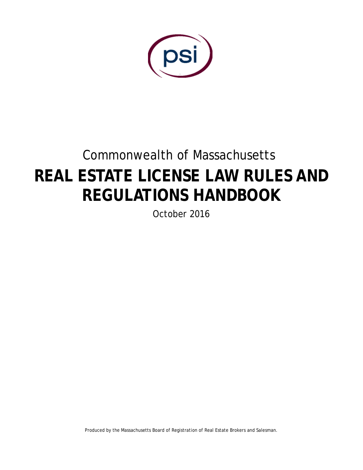

# Commonwealth of Massachusetts **REAL ESTATE LICENSE LAW RULES AND REGULATIONS HANDBOOK**

October 2016

Produced by the Massachusetts Board of Registration of Real Estate Brokers and Salesman.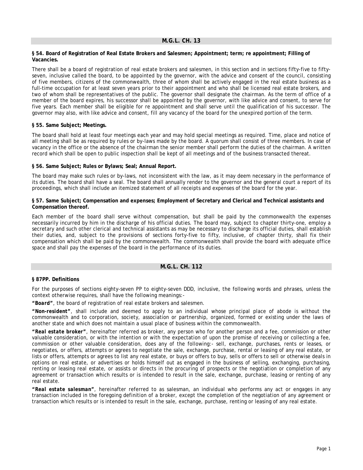#### **§ 54. Board of Registration of Real Estate Brokers and Salesmen; Appointment; term; re appointment; Filling of Vacancies.**

There shall be a board of registration of real estate brokers and salesmen, in this section and in sections fifty-five to fiftyseven, inclusive called the board, to be appointed by the governor, with the advice and consent of the council, consisting of five members, citizens of the commonwealth, three of whom shall be actively engaged in the real estate business as a full-time occupation for at least seven years prior to their appointment and who shall be licensed real estate brokers, and two of whom shall be representatives of the public. The governor shall designate the chairman. As the term of office of a member of the board expires, his successor shall be appointed by the governor, with like advice and consent, to serve for five years. Each member shall be eligible for re appointment and shall serve until the qualification of his successor. The governor may also, with like advice and consent, fill any vacancy of the board for the unexpired portion of the term.

#### **§ 55. Same Subject; Meetings.**

The board shall hold at least four meetings each year and may hold special meetings as required. Time, place and notice of all meeting shall be as required by rules or by-laws made by the board. A quorum shall consist of three members. In case of vacancy in the office or the absence of the chairman the senior member shall perform the duties of the chairman. A written record which shall be open to public inspection shall be kept of all meetings and of the business transacted thereat.

#### **§ 56. Same Subject; Rules or Bylaws; Seal; Annual Report.**

The board may make such rules or by-laws, not inconsistent with the law, as it may deem necessary in the performance of its duties. The board shall have a seal. The board shall annually render to the governor and the general court a report of its proceedings, which shall include an itemized statement of all receipts and expenses of the board for the year.

#### **§ 57. Same Subject; Compensation and expenses; Employment of Secretary and Clerical and Technical assistants and Compensation thereof.**

Each member of the board shall serve without compensation, but shall be paid by the commonwealth the expenses necessarily incurred by him in the discharge of his official duties. The board may, subject to chapter thirty-one, employ a secretary and such other clerical and technical assistants as may be necessary to discharge its official duties, shall establish their duties, and, subject to the provisions of sections forty-five to fifty, inclusive, of chapter thirty, shall fix their compensation which shall be paid by the commonwealth. The commonwealth shall provide the board with adequate office space and shall pay the expenses of the board in the performance of its duties.

## **M.G.L. CH. 112**

#### **§ 87PP. Definitions**

For the purposes of sections eighty-seven PP to eighty-seven DDD, inclusive, the following words and phrases, unless the context otherwise requires, shall have the following meanings:-

*"Board"*, the board of registration of real estate brokers and salesmen.

*"Non-resident"*, shall include and deemed to apply to an individual whose principal place of abode is without the commonwealth and to corporation, society, association or partnership, organized, formed or existing under the laws of another state and which does not maintain a usual place of business within the commonwealth.

*"Real estate broker"*, hereinafter referred as broker, any person who for another person and a fee, commission or other valuable consideration, or with the intention or with the expectation of upon the promise of receiving or collecting a fee, commission or other valuable consideration, does any of the following:- sell, exchange, purchases, rents or leases, or negotiates, or offers, attempts or agrees to negotiate the sale, exchange, purchase, rental or leasing of any real estate, or lists or offers, attempts or agrees to list any real estate, or buys or offers to buy, sells or offers to sell or otherwise deals in options on real estate, or advertises or holds himself out as engaged in the business of selling, exchanging, purchasing, renting or leasing real estate, or assists or directs in the procuring of prospects or the negotiation or completion of any agreement or transaction which results or is intended to result in the sale, exchange, purchase, leasing or renting of any real estate.

*"Real estate salesman"*, hereinafter referred to as salesman, an individual who performs any act or engages in any transaction included in the foregoing definition of a broker, except the completion of the negotiation of any agreement or transaction which results or is intended to result in the sale, exchange, purchase, renting or leasing of any real estate.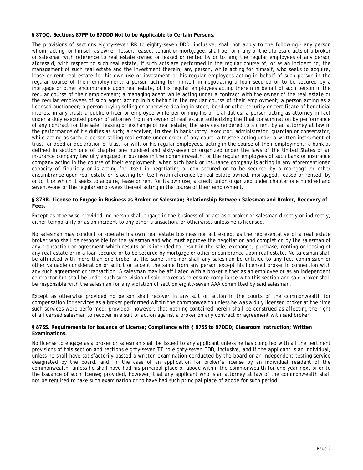#### **§ 87QQ. Sections 87PP to 87DDD Not to be Applicable to Certain Persons.**

The provisions of sections eighty-seven RR to eighty-seven DDD, inclusive, shall not apply to the following:- any person whom, acting for himself as owner, lessor, leasee, tenant or mortgagee, shall perform any of the aforesaid acts of a broker or salesman with reference to real estate owned or leased or rented by or to him; the regular employees of any person aforesaid, with respect to such real estate, if such acts are performed in the regular course of, or as an incident to, the management of such real estate and the investment therein; any person, while acting for himself, who seeks to acquire, lease or rent real estate for his own use or investment or his regular employees acting in behalf of such person in the regular course of their employment; a person acting for himself in negotiating a loan secured or to be secured by a mortgage or other encumbrance upon real estate, of his regular employees acting therein in behalf of such person in the regular course of their employment; a managing agent while acting under a contract with the owner of the real estate or the regular employees of such agent acting in his behalf in the regular course of their employment; a person acting as a licensed auctioneer; a person buying selling or otherwise dealing in stock, bond or other security or certificate of beneficial interest in any trust; a public officer or employee while performing his official duties; a person acting as attorney in fact under a duly executed power of attorney from an owner of real estate authorizing the final consummation by performance of any contract for the sale, leasing or exchange of real estate; the services rendered to a client by an attorney at law in the performance of his duties as such; a receiver, trustee in bankruptcy, executor, administrator, guardian or conservator, while acting as such: a person selling real estate under order of any court; a trustee acting under a written instrument of trust, or deed or declaration of trust, or will, or his regular employees, acting in the course of their employment; a bank as defined in section one of chapter one hundred and sixty-seven or organized under the laws of the United States or an insurance company lawfully engaged in business in the commonwealth, or the regular employees of such bank or insurance company acting in the course of their employment, when such bank or insurance company is acting in any aforementioned capacity of fiduciary or is acting for itself in negotiating a loan secured or to be secured by a mortgage or other encumbrance upon real estate or is acting for itself with reference to real estate owned, mortgaged, leased or rented, by or to it or which it seeks to acquire, lease or rent for its own use; a credit union organized under chapter one hundred and seventy-one or the regular employees thereof acting in the course of their employment.

#### **§ 87RR. License to Engage in Business as Broker or Salesman; Relationship Between Salesman and Broker, Recovery of Fees.**

Except as otherwise provided, no person shall engage in the business of or act as a broker or salesman directly or indirectly, either temporarily or as an incident to any other transaction, or otherwise, unless he is licensed.

No salesman may conduct or operate his own real estate business nor act except as the representative of a real estate broker who shall be responsible for the salesman and who must approve the negotiation and completion by the salesman of any transaction or agreement which results or is intended to result in the sale, exchange, purchase, renting or leasing of any real estate or in a loan secured or to be secured by mortgage or other encumbrance upon real estate. No salesman shall be affiliated with more than one broker at the same time nor shall any salesman be entitled to any fee, commission or other valuable consideration or solicit or accept the same from any person except his licensed broker in connection with any such agreement or transaction. A salesman may be affiliated with a broker either as an employee or as an independent contractor but shall be under such supervision of said broker as to ensure compliance with this section and said broker shall be responsible with the salesman for any violation of section eighty-seven AAA committed by said salesman.

Except as otherwise provided no person shall recover in any suit or action in the courts of the commonwealth for compensation for services as a broker performed within the commonwealth unless he was a duly licensed broker at the time such services were performed; provided, however, that nothing contained herein shall be construed as affecting the right of a licensed salesman to recover in a suit or action against a broker on any contract or agreement with said broker.

#### **§ 87SS. Requirements for Issuance of License; Compliance with § 87SS to 87DDD; Classroom Instruction; Written Examinations.**

No license to engage as a broker or salesman shall be issued to any applicant unless he has complied with all the pertinent provisions of this section and sections eighty-seven TT to eighty-seven DDD, inclusive, and if the applicant is an individual, unless he shall have satisfactorily passed a written examination conducted by the board or an independent testing service designated by the board, and, in the case of an application for broker's license by an individual resident of the commonwealth, unless he shall have had his principal place of abode within the commonwealth for one year next prior to the issuance of such license; provided, however, that any applicant who is an attorney at law of the commonwealth shall not be required to take such examination or to have had such principal place of abode for such period.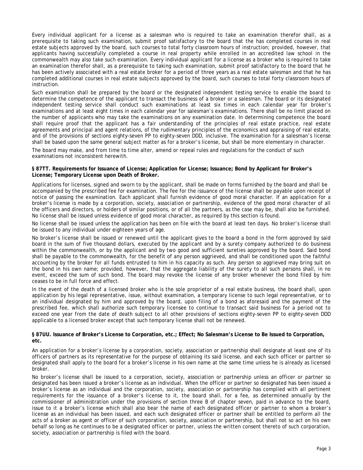Every individual applicant for a license as a salesman who is required to take an examination therefor shall, as a prerequisite to taking such examination, submit proof satisfactory to the board that the has completed courses in real estate subjects approved by the board, such courses to total forty classroom hours of instruction; provided, however, that applicants having successfully completed a course in real property while enrolled in an accredited law school in the commonwealth may also take such examination. Every individual applicant for a license as a broker who is required to take an examination therefor shall, as a prerequisite to taking such examination, submit proof satisfactory to the board that he has been actively associated with a real estate broker for a period of three years as a real estate salesman and that he has completed additional courses in real estate subjects approved by the board, such courses to total forty classroom hours of instruction.

Such examination shall be prepared by the board or the designated independent testing service to enable the board to determine the competence of the applicant to transact the business of a broker or a salesman. The board or its designated independent testing service shall conduct such examinations at least six times in each calendar year for broker's examinations and at least eight times in each calendar year for salesman's examinations. There shall be no limit placed on the number of applicants who may take the examinations on any examination date. In determining competence the board shall require proof that the applicant has a fair understanding of the principles of real estate practice, real estate agreements and principal and agent relations, of the rudimentary principles of the economics and appraising of real estate, and of the provisions of sections eighty-seven PP to eighty-seven DDD, inclusive. The examination for a salesman's license shall be based upon the same general subject matter as for a broker's license, but shall be more elementary in character.

The board may make, and from time to time alter, amend or repeal rules and regulations for the conduct of such examinations not inconsistent herewith.

#### **§ 87TT. Requirements for Issuance of License; Application for License; Issuance; Bond by Applicant for Broker's License; Temporary License upon Death of Broker.**

Applications for licenses, signed and sworn to by the applicant, shall be made on forms furnished by the board and shall be accompanied by the prescribed fee for examination. The fee for the issuance of the license shall be payable upon receipt of notice of passing the examination. Each applicant shall furnish evidence of good moral character. If an application for a broker's license is made by a corporation, society, association or partnership, evidence of the good moral character of all the officers and directors, or holders of similar positions, or of all the partners, as the case may be, shall also be furnished. No license shall be issued unless evidence of good moral character, as required by this section is found.

No license shall be issued unless the application has been on file with the board at least ten days. No broker's license shall be issued to any individual under eighteen years of age.

No broker's license shall be issued or renewed until the applicant gives to the board a bond in the form approved by said board in the sum of five thousand dollars, executed by the applicant and by a surety company authorized to do business within the commonwealth, or by the applicant and by two good and sufficient sureties approved by the board. Said bond shall be payable to the commonwealth, for the benefit of any person aggrieved, and shall be conditioned upon the faithful accounting by the broker for all funds entrusted to him in his capacity as such. Any person so aggrieved may bring suit on the bond in his own name; provided, however, that the aggregate liability of the surety to all such persons shall, in no event, exceed the sum of such bond. The board may revoke the license of any broker whenever the bond filed by him ceases to be in full force and effect.

In the event of the death of a licensed broker who is the sole proprietor of a real estate business, the board shall, upon application by his legal representative, issue, without examination, a temporary license to such legal representative, or to an individual designated by him and approved by the board, upon filing of a bond as aforesaid and the payment of the prescribed fee, which shall authorize such temporary licensee to continue to transact said business for a period not to exceed one year from the date of death subject to all other provisions of sections eighty-seven PP to eighty-seven DDD applicable to a licensed broker except that such temporary license shall not be renewed.

## **§ 87UU. Issuance of Broker's License to Corporation, etc.; Effect; No Salesman's License to Be Issued to Corporation, etc.**

An application for a broker's license by a corporation, society, association or partnership shall designate at least one of its officers of partners as its representative for the purpose of obtaining its said license, and each such officer or partner so designated shall apply to the board for a broker's license in his own name at the same time unless he is already as licensed broker.

No broker's license shall be issued to a corporation, society, association or partnership unless an officer or partner so designated has been issued a broker's license as an individual. When the officer or partner so designated has been issued a broker's license as an individual and the corporation, society, association or partnership has complied with all pertinent requirements for the issuance of a broker's license to it, the board shall, for a fee, as determined annually by the commissioner of administration under the provisions of section three B of chapter seven, paid in advance to the board, issue to it a broker's license which shall also bear the name of each designated officer or partner to whom a broker's license as an individual has been issued, and each such designated officer or partner shall be entitled to perform all the acts of a broker as agent or officer of such corporation, society, association or partnership, but shall not so act on his own behalf so long as he continues to be a designated officer or partner, unless the written consent thereto of such corporation, society, association or partnership is filed with the board.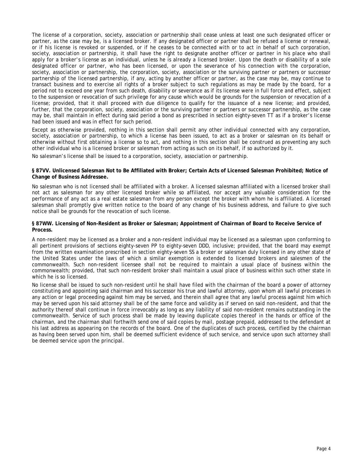The license of a corporation, society, association or partnership shall cease unless at least one such designated officer or partner, as the case may be, is a licensed broker. If any designated officer or partner shall be refused a license or renewal, or if his license is revoked or suspended, or if he ceases to be connected with or to act in behalf of such corporation, society, association or partnership, it shall have the right to designate another officer or partner in his place who shall apply for a broker's license as an individual, unless he is already a licensed broker. Upon the death or disability of a sole designated officer or partner, who has been licensed, or upon the severance of his connection with the corporation, society, association or partnership, the corporation, society, association or the surviving partner or partners or successor partnership of the licensed partnership, if any, acting by another officer or partner, as the case may be, may continue to transact business and to exercise all rights of a broker subject to such regulations as may be made by the board, for a period not to exceed one year from such death, disability or severance as if its license were in full force and effect, subject to the suspension or revocation of such privilege for any cause which would be grounds for the suspension or revocation of a license; provided, that it shall proceed with due diligence to qualify for the issuance of a new license; and provided, further, that the corporation, society, association or the surviving partner or partners or successor partnership, as the case may be, shall maintain in effect during said period a bond as prescribed in section eighty-seven TT as if a broker's license had been issued and was in effect for such period.

Except as otherwise provided, nothing in this section shall permit any other individual connected with any corporation, society, association or partnership, to which a license has been issued, to act as a broker or salesman on its behalf or otherwise without first obtaining a license so to act, and nothing in this section shall be construed as preventing any such other individual who is a licensed broker or salesman from acting as such on its behalf, if so authorized by it.

No salesman's license shall be issued to a corporation, society, association or partnership.

## **§ 87VV. Unlicensed Salesman Not to Be Affiliated with Broker; Certain Acts of Licensed Salesman Prohibited; Notice of Change of Business Addressee.**

No salesman who is not licensed shall be affiliated with a broker. A licensed salesman affiliated with a licensed broker shall not act as salesman for any other licensed broker while so affiliated, nor accept any valuable consideration for the performance of any act as a real estate salesman from any person except the broker with whom he is affiliated. A licensed salesman shall promptly give written notice to the board of any change of his business address, and failure to give such notice shall be grounds for the revocation of such license.

#### **§ 87WW. Licensing of Non-Resident as Broker or Salesman; Appointment of Chairman of Board to Receive Service of Process.**

A non-resident may be licensed as a broker and a non-resident individual may be licensed as a salesman upon conforming to all pertinent provisions of sections eighty-seven PP to eighty-seven DDD, inclusive; provided, that the board may exempt from the written examination prescribed in section eighty-seven SS a broker or salesman duly licensed in any other state of the United States under the laws of which a similar exemption is extended to licensed brokers and salesmen of the commonwealth. Such non-resident licensee shall not be required to maintain a usual place of business within the commonwealth; provided, that such non-resident broker shall maintain a usual place of business within such other state in which he is so licensed.

No license shall be issued to such non-resident until he shall have filed with the chairman of the board a power of attorney constituting and appointing said chairman and his successor his true and lawful attorney, upon whom all lawful processes in any action or legal proceeding against him may be served, and therein shall agree that any lawful process against him which may be served upon his said attorney shall be of the same force and validity as if served on said non-resident, and that the authority thereof shall continue in force irrevocably as long as any liability of said non-resident remains outstanding in the commonwealth. Service of such process shall be made by leaving duplicate copies thereof in the hands or office of the chairman, and the chairman shall forthwith send one of said copies by mail, postage prepaid, addressed to the defendant at his last address as appearing on the records of the board. One of the duplicates of such process, certified by the chairman as having been served upon him, shall be deemed sufficient evidence of such service, and service upon such attorney shall be deemed service upon the principal.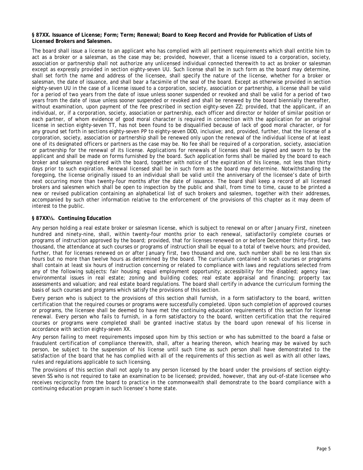#### **§ 87XX. Issuance of License; Form; Term; Renewal; Board to Keep Record and Provide for Publication of Lists of Licensed Brokers and Salesmen.**

The board shall issue a license to an applicant who has complied with all pertinent requirements which shall entitle him to act as a broker or a salesman, as the case may be; provided, however, that a license issued to a corporation, society, association or partnership shall not authorize any unlicensed individual connected therewith to act as broker or salesman except as expressly provided in section eighty-seven UU. Such license shall be in such form as the board may determine, shall set forth the name and address of the licensee, shall specify the nature of the license, whether for a broker or salesman, the date of issuance, and shall bear a facsimile of the seal of the board. Except as otherwise provided in section eighty-seven UU in the case of a license issued to a corporation, society, association or partnership, a license shall be valid for a period of two years from the date of issue unless sooner suspended or revoked and shall be valid for a period of two years from the date of issue unless sooner suspended or revoked and shall be renewed by the board biennially thereafter, without examination, upon payment of the fee prescribed in section eighty-seven ZZ; provided, that the applicant, if an individual, or, if a corporation, society, association or partnership, each officer and director or holder of similar position or each partner, of whom evidence of good moral character is required in connection with the application for an original license in section eighty-seven TT, has not been found to be disqualified because of lack of good moral character, or for any ground set forth in sections eighty-seven PP to eighty-seven DDD, inclusive; and, provided, further, that the license of a corporation, society, association or partnership shall be renewed only upon the renewal of the individual license of at least one of its designated officers or partners as the case may be. No fee shall be required of a corporation, society, association or partnership for the renewal of its license. Applications for renewals of licenses shall be signed and sworn to by the applicant and shall be made on forms furnished by the board. Such application forms shall be mailed by the board to each broker and salesman registered with the board, together with notice of the expiration of his license, not less than thirty days prior to such expiration. Renewal licensed shall be in such form as the board may determine. Notwithstanding the foregoing, the license originally issued to an individual shall be valid until the anniversary of the licensee's date of birth next occurring more than twenty-four months after the date of issuance. The board shall keep a record of all licensed brokers and salesmen which shall be open to inspection by the public and shall, from time to time, cause to be printed a new or revised publication containing an alphabetical list of such brokers and salesmen, together with their addresses, accompanied by such other information relative to the enforcement of the provisions of this chapter as it may deem of interest to the public.

## **§ 87XX½. Continuing Education**

Any person holding a real estate broker or salesman license, which is subject to renewal on or after January First, nineteen hundred and ninety-nine, shall, within twenty-four months prior to each renewal, satisfactorily complete courses or programs of instruction approved by the board; provided, that for licenses renewed on or before December thirty-first, two thousand, the attendance at such courses or programs of instruction shall be equal to a total of twelve hours; and provided, further, that for licenses renewed on or after January first, two thousand and one, such number shall be no less than six hours but no more than twelve hours as determined by the board. The curriculum contained in such courses or programs shall contain at least six hours of instruction concerning or related to compliance with laws and regulations selected from any of the following subjects: fair housing; equal employment opportunity; accessibility for the disabled; agency law; environmental issues in real estate; zoning and building codes; real estate appraisal and financing; property tax assessments and valuation; and real estate board regulations. The board shall certify in advance the curriculum forming the basis of such courses and programs which satisfy the provisions of this section.

Every person who is subject to the provisions of this section shall furnish, in a form satisfactory to the board, written certification that the required courses or programs were successfully completed. Upon such completion of approved courses or programs, the licensee shall be deemed to have met the continuing education requirements of this section for license renewal. Every person who fails to furnish, in a form satisfactory to the board, written certification that the required courses or programs were completed shall be granted inactive status by the board upon renewal of his license in accordance with section eighty-seven XX.

Any person failing to meet requirements imposed upon him by this section or who has submitted to the board a false or fraudulent certification of compliance therewith, shall, after a hearing thereon, which hearing may be waived by such person, be subject to the suspension of his license until such time as such person shall have demonstrated to the satisfaction of the board that he has complied with all of the requirements of this section as well as with all other laws, rules and regulations applicable to such licensing.

The provisions of this section shall not apply to any person licensed by the board under the provisions of section eightyseven SS who is not required to take an examination to be licensed; provided, however, that any out-of-state licensee who receives reciprocity from the board to practice in the commonwealth shall demonstrate to the board compliance with a continuing education program in such licensee's home state.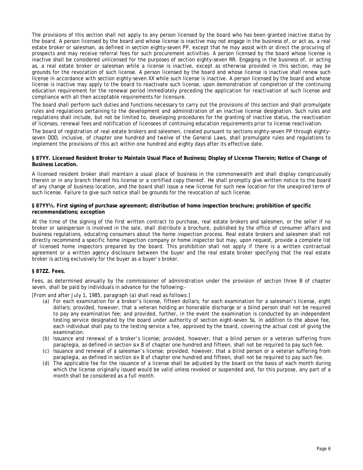The provisions of this section shall not apply to any person licensed by the board who has been granted inactive status by the board. A person licensed by the board and whose license is inactive may not engage in the business of, or act as, a real estate broker or salesman, as defined in section eighty-seven PP, except that he may assist with or direct the procuring of prospects and may receive referral fees for such procurement activities. A person licensed by the board whose license is inactive shall be considered unlicensed for the purposes of section eighty-seven RR. Engaging in the business of, or acting as, a real estate broker or salesman while a license is inactive, except as otherwise provided in this section, may be grounds for the revocation of such license. A person licensed by the board and whose license is inactive shall renew such license in accordance with section eighty-seven XX while such license is inactive. A person licensed by the board and whose license is inactive may apply to the board to reactivate such license, upon demonstration of completion of the continuing education requirement for the renewal period immediately preceding the application for reactivation of such license and compliance with all then acceptable requirements for licensure.

The board shall perform such duties and functions necessary to carry out the provisions of this section and shall promulgate rules and regulations pertaining to the development and administration of an inactive license designation. Such rules and regulations shall include, but not be limited to, developing procedures for the granting of inactive status, the reactivation of licenses, renewal fees and notification of licensees of continuing education requirements prior to license reactivation.

The board of registration of real estate brokers and salesmen, created pursuant to sections eighty-seven PP through eightyseven DDD, inclusive, of chapter one hundred and twelve of the General Laws, shall promulgate rules and regulations to implement the provisions of this act within one hundred and eighty days after its effective date.

#### **§ 87YY. Licensed Resident Broker to Maintain Usual Place of Business; Display of License Therein; Notice of Change of Business Location.**

A licensed resident broker shall maintain a usual place of business in the commonwealth and shall display conspicuously therein or in any branch thereof his license or a certified copy thereof. He shall promptly give written notice to the board of any change of business location, and the board shall issue a new license for such new location for the unexpired term of such license. Failure to give such notice shall be grounds for the revocation of such license.

#### **§ 87YY½. First signing of purchase agreement; distribution of home inspection brochure; prohibition of specific recommendations; exception**

At the time of the signing of the first written contract to purchase, real estate brokers and salesmen, or the seller if no broker or salesperson is involved in the sale, shall distribute a brochure, published by the office of consumer affairs and business regulations, educating consumers about the home inspection process. Real estate brokers and salesmen shall not directly recommend a specific home inspection company or home inspector but may, upon request, provide a complete list of licensed home inspectors prepared by the board. This prohibition shall not apply if there is a written contractual agreement or a written agency disclosure between the buyer and the real estate broker specifying that the real estate broker is acting exclusively for the buyer as a buyer's broker.

## **§ 87ZZ. Fees.**

Fees, as determined annually by the commissioner of administration under the provision of section three B of chapter seven, shall be paid by individuals in advance for the following:-

[From and after July 1, 1985, paragraph (a) shall read as follows:]

- (a) For each examination for a broker's license, fifteen dollars; for each examination for a salesman's license, eight dollars; provided, however, that a veteran holding an honorable discharge or a blind person shall not be required to pay any examination fee; and provided, further, in the event the examination is conducted by an independent testing service designated by the board under authority of section eight-seven Ss, in addition to the above fee, each individual shall pay to the testing service a fee, approved by the board, covering the actual cost of giving the examination.
- (b) Issuance and renewal of a broker's license; provided, however, that a blind person or a veteran suffering from paraplegia, as defined in section six B of chapter one hundred and fifteen, shall not be required to pay such fee.
- (c) Issuance and renewal of a salesman's license; provided, however, that a blind person or a veteran suffering from paraplegia, as defined in section six B of chapter one hundred and fifteen, shall not be required to pay such fee.
- (d) The applicable fee for the issuance of a license shall be adjusted by the board on the basis of each month during which the license originally issued would be valid unless revoked or suspended and, for this purpose, any part of a month shall be considered as a full month.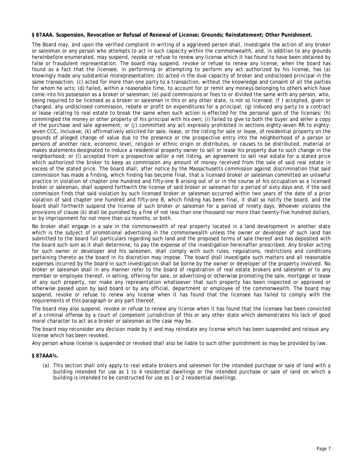#### **§ 87AAA. Suspension, Revocation or Refusal of Renewal of License; Grounds; Reinstatement; Other Punishment.**

The Board may, and upon the verified complaint in writing of a aggrieved person shall, investigate the action of any broker or salesman or any person who attempts to act in such capacity within the commonwealth, and, in addition to any grounds hereinbefore enumerated, may suspend, revoke or refuse to renew any license which it has found to have been obtained by false or fraudulent representation. The board may suspend, revoke or refuse to renew any license, when the board has found as a fact that the licensee, in performing or attempting to perform any act authorized by his license, has (a) knowingly made any substantial misrepresentation; (b) acted in the dual capacity of broker and undisclosed principal in the same transaction; (c) acted for more than one party to a transaction, without the knowledge and consent of all the parties for whom he acts; (d) failed, within a reasonable time, to account for or remit any moneys belonging to others which have come into his possession as a broker or salesman; (e) paid commissions or fees to or divided the same with any person, who, being required to be licensed as a broker or salesman in this or any other state, is not so licensed; (f ) accepted, given or charged, any undisclosed commission, rebate or profit on expenditures for a principal; (g) induced any party to a contract or lease relating to real estate to break the same when such action is effected for the personal gain of the licenses; (h) commingled the money or other property of his principal with his own; (i) failed to give to both the buyer and seller a copy of the purchase and sale agreement; or (j) committed any act expressly prohibited in sections eighty-seven RR to eightyseven CCC, inclusive; (k) affirmatively solicited for sale, lease, or the listing for sale or lease, of residential property on the grounds of alleged change of value due to the presence or the prospective entry into the neighborhood of a person or persons of another race, economic level, religion or ethnic origin or distributes, or causes to be distributed, material or makes statements designated to induce a residential property owner to sell or lease his property due to such change in the neighborhood; or (l) accepted from a prospective seller a net listing, an agreement to sell real estate for a stated price which authorized the broker to keep as commission any amount of money received from the sale of said real estate in excess of the stated price. The board shall, after notice by the Massachusetts commission against discrimination that said commission has made a finding, which finding has become final, that a licensed broker or salesman committed an unlawful practice in violation of chapter one hundred and fifty-one B arising out of or in the course of his occupation as a licensed broker or salesman, shall suspend forthwith the license of said broker or salesman for a period of sixty days and, if the said commission finds that said violation by such licensed broker or salesman occurred within two years of the date of a prior violation of said chapter one hundred and fifty-one B, which finding has been final, it shall so notify the board, and the board shall forthwith suspend the license of such broker or salesman for a period of ninety days. Whoever violates the provisions of clause (k) shall be punished by a fine of not less than one thousand nor more than twenty-five hundred dollars, or by imprisonment for not more than six months, or both.

No broker shall engage in a sale in the commonwealth of real property located in a land development in another state which is the subject of promotional advertising in the commonwealth unless the owner or developer of such land has submitted to the board full particulars regarding such land and the proposed terms of sale thereof and has deposited with the board such sum as it shall determine, to pay the expense of the investigation hereinafter prescribed. Any broker acting for such owner or developer and his salesmen, shall comply with such rules, regulations, restrictions and conditions pertaining thereto as the board in its discretion may impose. The board shall investigate such matters and all reasonable expenses incurred by the board in such investigation shall be borne by the owner or developer of the property involved. No broker or salesman shall in any manner refer to the board of registration of real estate brokers and salesmen or to any member or employee thereof, in selling, offering for sale, or advertising or otherwise promoting the sale, mortgage or lease of any such property, nor make any representation whatsoever that such property has been inspected or approved or otherwise passed upon by said board or by any official, department or employee of the commonwealth. The board may suspend, revoke or refuse to renew any license when it has found that the licensee has failed to comply with the requirements of this paragraph or any part thereof.

The board may also suspend, revoke or refuse to renew any license when it has found that the licensee has been convicted of a criminal offense by a court of competent jurisdiction of this or any other state which demonstrates his lack of good moral character to act as a broker or salesman as the case may be.

The board may reconsider any decision made by it and may reinstate any license which has been suspended and reissue any license which has been revoked.

Any person whose license is suspended or revoked shall also be liable to such other punishment as may be provided by law.

## **§ 87AAA¾.**

(a) This section shall only apply to real estate brokers and salesmen for the intended purchase or sale of land with a building intended for use as 1 to 4 residential dwellings or the intended purchase or sale of land on which a building is intended to be constructed for use as 1 or 2 residential dwellings.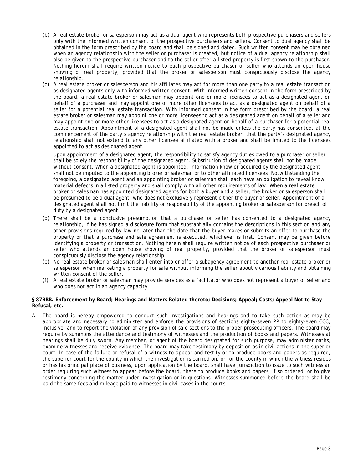- (b) A real estate broker or salesperson may act as a dual agent who represents both prospective purchasers and sellers only with the informed written consent of the prospective purchasers and sellers. Consent to dual agency shall be obtained in the form prescribed by the board and shall be signed and dated. Such written consent may be obtained when an agency relationship with the seller or purchaser is created, but notice of a dual agency relationship shall also be given to the prospective purchaser and to the seller after a listed property is first shown to the purchaser. Nothing herein shall require written notice to each prospective purchaser or seller who attends an open house showing of real property, provided that the broker or salesperson must conspicuously disclose the agency relationship.
- (c) A real estate broker or salesperson and his affiliates may act for more than one party to a real estate transaction as designated agents only with informed written consent. With informed written consent in the form prescribed by the board, a real estate broker or salesman may appoint one or more licensees to act as a designated agent on behalf of a purchaser and may appoint one or more other licensees to act as a designated agent on behalf of a seller for a potential real estate transaction. With informed consent in the form prescribed by the board, a real estate broker or salesman may appoint one or more licensees to act as a designated agent on behalf of a seller and may appoint one or more other licensees to act as a designated agent on behalf of a purchaser for a potential real estate transaction. Appointment of a designated agent shall not be made unless the party has consented, at the commencement of the party's agency relationship with the real estate broker, that the party's designated agency relationship shall not extend to any other licensee affiliated with a broker and shall be limited to the licensees appointed to act as designated agent.

Upon appointment of a designated agent, the responsibility to satisfy agency duties owed to a purchaser or seller shall be solely the responsibility of the designated agent. Substitution of designated agents shall not be made without consent. When a designated agent is appointed, information know or acquired by the designated agent shall not be imputed to the appointing broker or salesman or to other affiliated licensees. Notwithstanding the foregoing, a designated agent and an appointing broker or salesman shall each have an obligation to reveal know material defects in a listed property and shall comply with all other requirements of law. When a real estate broker or salesman has appointed designated agents for both a buyer and a seller, the broker or salesperson shall be presumed to be a dual agent, who does not exclusively represent either the buyer or seller. Appointment of a designated agent shall not limit the liability or responsibility of the appointing broker or salesperson for breach of duty by a designated agent.

- (d) There shall be a conclusive presumption that a purchaser or seller has consented to a designated agency relationship, if he has signed a disclosure form that substantially contains the descriptions in this section and any other provisions required by law no later than the date that the buyer makes or submits an offer to purchase the property or that a purchase and sale agreement is executed, whichever is first. Consent may be given before identifying a property or transaction. Nothing herein shall require written notice of each prospective purchaser or seller who attends an open house showing of real property, provided that the broker or salesperson must conspicuously disclose the agency relationship.
- (e) No real estate broker or salesman shall enter into or offer a subagency agreement to another real estate broker or salesperson when marketing a property for sale without informing the seller about vicarious liability and obtaining written consent of the seller.
- (f) A real estate broker or salesman may provide services as a facilitator who does not represent a buyer or seller and who does not act in an agency capacity.

## **§ 87BBB. Enforcement by Board; Hearings and Matters Related thereto; Decisions; Appeal; Costs; Appeal Not to Stay Refusal, etc.**

A. The board is hereby empowered to conduct such investigations and hearings and to take such action as may be appropriate and necessary to administer and enforce the provisions of sections eighty-seven PP to eighty-even CCC, inclusive, and to report the violation of any provision of said sections to the proper prosecuting officers. The board may require by summons the attendance and testimony of witnesses and the production of books and papers. Witnesses at hearings shall be duly sworn. Any member, or agent of the board designated for such purpose, may administer oaths, examine witnesses and receive evidence. The board may take testimony by deposition as in civil actions in the superior court. In case of the failure or refusal of a witness to appear and testify or to produce books and papers as required, the superior court for the county in which the investigation is carried on, or for the county in which the witness resides or has his principal place of business, upon application by the board, shall have jurisdiction to issue to such witness an order requiring such witness to appear before the board, there to produce books and papers, if so ordered, or to give testimony concerning the matter under investigation or in questions. Witnesses summoned before the board shall be paid the same fees and mileage paid to witnesses in civil cases in the courts.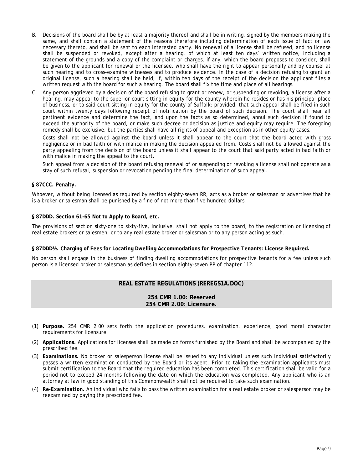- B. Decisions of the board shall be by at least a majority thereof and shall be in writing, signed by the members making the same, and shall contain a statement of the reasons therefore including determination of each issue of fact or law necessary thereto, and shall be sent to each interested party. No renewal of a license shall be refused, and no license shall be suspended or revoked, except after a hearing, of which at least ten days' written notice, including a statement of the grounds and a copy of the complaint or charges, if any, which the board proposes to consider, shall be given to the applicant for renewal or the licensee, who shall have the right to appear personally and by counsel at such hearing and to cross-examine witnesses and to produce evidence. In the case of a decision refusing to grant an original license, such a hearing shall be held, if, within ten days of the receipt of the decision the applicant files a written request with the board for such a hearing. The board shall fix the time and place of all hearings.
- C. Any person aggrieved by a decision of the board refusing to grant or renew, or suspending or revoking, a license after a hearing, may appeal to the superior court sitting in equity for the county wherein he resides or has his principal place of business, or to said court sitting in equity for the county of Suffolk; provided, that such appeal shall be filed in such court within twenty days following receipt of notification by the board of such decision. The court shall hear all pertinent evidence and determine the fact, and upon the facts as so determined, annul such decision if found to exceed the authority of the board, or make such decree or decision as justice and equity may require. The foregoing remedy shall be exclusive, but the parties shall have all rights of appeal and exception as in other equity cases.

Costs shall not be allowed against the board unless it shall appear to the court that the board acted with gross negligence or in bad faith or with malice in making the decision appealed from. Costs shall not be allowed against the party appealing from the decision of the board unless it shall appear to the court that said party acted in bad faith or with malice in making the appeal to the court.

Such appeal from a decision of the board refusing renewal of or suspending or revoking a license shall not operate as a stay of such refusal, suspension or revocation pending the final determination of such appeal.

# **§ 87CCC. Penalty.**

Whoever, without being licensed as required by section eighty-seven RR, acts as a broker or salesman or advertises that he is a broker or salesman shall be punished by a fine of not more than five hundred dollars.

## **§ 87DDD. Section 61-65 Not to Apply to Board, etc.**

The provisions of section sixty-one to sixty-five, inclusive, shall not apply to the board, to the registration or licensing of real estate brokers or salesmen, or to any real estate broker or salesman or to any person acting as such.

## **§ 87DDD½. Charging of Fees for Locating Dwelling Accommodations for Prospective Tenants: License Required.**

No person shall engage in the business of finding dwelling accommodations for prospective tenants for a fee unless such person is a licensed broker or salesman as defines in section eighty-seven PP of chapter 112.

# **REAL ESTATE REGULATIONS (REREGS1A.DOC)**

# **254 CMR 1.00: Reserved 254 CMR 2.00: Licensure.**

- (1) *Purpose.* 254 CMR 2.00 sets forth the application procedures, examination, experience, good moral character requirements for licensure.
- (2) *Applications.* Applications for licenses shall be made on forms furnished by the Board and shall be accompanied by the prescribed fee.
- (3) *Examinations.* No broker or salesperson license shall be issued to any individual unless such individual satisfactorily passes a written examination conducted by the Board or its agent. Prior to taking the examination applicants must submit certification to the Board that the required education has been completed. This certification shall be valid for a period not to exceed 24 months following the date on which the education was completed. Any applicant who is an attorney at law in good standing of this Commonwealth shall not be required to take such examination.
- (4) *Re-Examination.* An individual who fails to pass the written examination for a real estate broker or salesperson may be reexamined by paying the prescribed fee.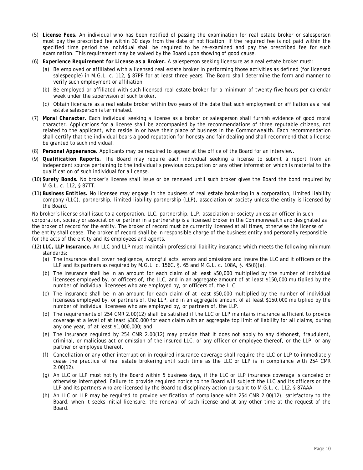- (5) *License Fees.* An individual who has been notified of passing the examination for real estate broker or salesperson must pay the prescribed fee within 30 days from the date of notification. If the required fee is not paid within the specified time period the individual shall be required to be re-examined and pay the prescribed fee for such examination. This requirement may be waived by the Board upon showing of good cause.
- (6) *Experience Requirement for License as a Broker.* A salesperson seeking licensure as a real estate broker must:
	- (a) Be employed or affiliated with a licensed real estate broker in performing those activities as defined (for licensed salespeople) in M.G.L. c. 112, § 87PP for at least three years. The Board shall determine the form and manner to verify such employment or affiliation.
	- (b) Be employed or affiliated with such licensed real estate broker for a minimum of twenty-five hours per calendar week under the supervision of such broker.
	- (c) Obtain licensure as a real estate broker within two years of the date that such employment or affiliation as a real estate salesperson is terminated.
- (7) *Moral Character.* Each individual seeking a license as a broker or salesperson shall furnish evidence of good moral character. Applications for a license shall be accompanied by the recommendations of three reputable citizens, not related to the applicant, who reside in or have their place of business in the Commonwealth. Each recommendation shall certify that the individual bears a good reputation for honesty and fair dealing and shall recommend that a license be granted to such individual.
- (8) *Personal Appearance.* Applicants may be required to appear at the office of the Board for an interview.
- (9) *Qualification Reports.* The Board may require each individual seeking a license to submit a report from an independent source pertaining to the individual's previous occupation or any other information which is material to the qualification of such individual for a license.
- (10) *Surety Bonds.* No broker's license shall issue or be renewed until such broker gives the Board the bond required by M.G.L. c. 112, § 87TT.
- (11) *Business Entities.* No licensee may engage in the business of real estate brokering in a corporation, limited liability company (LLC), partnership, limited liability partnership (LLP), association or society unless the entity is licensed by the Board.

No broker's license shall issue to a corporation, LLC, partnership, LLP, association or society unless an officer in such corporation, society or association or partner in a partnership is a licensed broker in the Commonwealth and designated as the broker of record for the entity. The broker of record must be currently licensed at all times, otherwise the license of the entity shall cease. The broker of record shall be in responsible charge of the business entity and personally responsible for the acts of the entity and its employees and agents.

- (12) *LLC, LLP Insurance.* An LLC and LLP must maintain professional liability insurance which meets the following minimum standards:
	- (a) The insurance shall cover negligence, wrongful acts, errors and omissions and insure the LLC and it officers or the LLP and its partners as required by M.G.L. c. 156C, §. 65 and M.G.L. c. 108A, §. 45(8)(a).
	- (b) The insurance shall be in an amount for each claim of at least \$50,000 multiplied by the number of individual licensees employed by, or officers of, the LLC, and in an aggregate amount of at least \$150,000 multiplied by the number of individual licensees who are employed by, or officers of, the LLC.
	- (c) The insurance shall be in an amount for each claim of at least \$50,000 multiplied by the number of individual licensees employed by, or partners of, the LLP, and in an aggregate amount of at least \$150,000 multiplied by the number of individual licensees who are employed by, or partners of, the LLP.
	- (d) The requirements of 254 CMR 2.00(12) shall be satisfied if the LLC or LLP maintains insurance sufficient to provide coverage at a level of at least \$300,000 for each claim with an aggregate top limit of liability for all claims, during any one year, of at least \$1,000,000; and
	- (e) The insurance required by 254 CMR 2.00(12) may provide that it does not apply to any dishonest, fraudulent, criminal, or malicious act or omission of the insured LLC, or any officer or employee thereof, or the LLP, or any partner or employee thereof.
	- (f) Cancellation or any other interruption in required insurance coverage shall require the LLC or LLP to immediately cease the practice of real estate brokering until such time as the LLC or LLP is in compliance with 254 CMR 2.00(12).
	- (g) An LLC or LLP must notify the Board within 5 business days, if the LLC or LLP insurance coverage is canceled or otherwise interrupted. Failure to provide required notice to the Board will subject the LLC and its officers or the LLP and its partners who are licensed by the Board to disciplinary action pursuant to M.G.L. c. 112, § 87AAA.
	- (h) An LLC or LLP may be required to provide verification of compliance with 254 CMR 2.00(12), satisfactory to the Board, when it seeks initial licensure, the renewal of such license and at any other time at the request of the Board.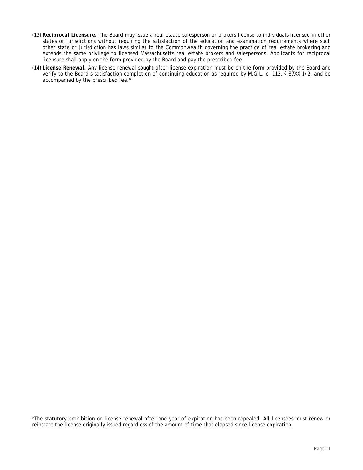- (13) *Reciprocal Licensure.* The Board may issue a real estate salesperson or brokers license to individuals licensed in other states or jurisdictions without requiring the satisfaction of the education and examination requirements where such other state or jurisdiction has laws similar to the Commonwealth governing the practice of real estate brokering and extends the same privilege to licensed Massachusetts real estate brokers and salespersons. Applicants for reciprocal licensure shall apply on the form provided by the Board and pay the prescribed fee.
- (14) *License Renewal.* Any license renewal sought after license expiration must be on the form provided by the Board and verify to the Board's satisfaction completion of continuing education as required by M.G.L. c. 112, § 87XX 1/2, and be accompanied by the prescribed fee.\*

\*The statutory prohibition on license renewal after one year of expiration has been repealed. All licensees must renew or reinstate the license originally issued regardless of the amount of time that elapsed since license expiration.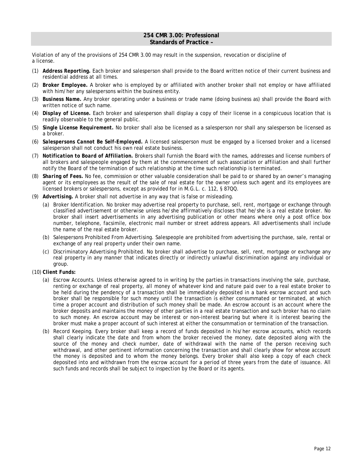#### **254 CMR 3.00: Professional Standards of Practice –**

Violation of any of the provisions of 254 CMR 3.00 may result in the suspension, revocation or discipline of a license.

- (1) *Address Reporting.* Each broker and salesperson shall provide to the Board written notice of their current business and residential address at all times.
- (2) *Broker Employee.* A broker who is employed by or affiliated with another broker shall not employ or have affiliated with him/her any salespersons within the business entity.
- (3) *Business Name.* Any broker operating under a business or trade name (doing business as) shall provide the Board with written notice of such name.
- (4) *Display of License.* Each broker and salesperson shall display a copy of their license in a conspicuous location that is readily observable to the general public.
- (5) *Single License Requirement.* No broker shall also be licensed as a salesperson nor shall any salesperson be licensed as a broker.
- (6) *Salespersons Cannot Be Self-Employed.* A licensed salesperson must be engaged by a licensed broker and a licensed salesperson shall not conduct his own real estate business.
- (7) *Notification to Board of Affiliation.* Brokers shall furnish the Board with the names, addresses and license numbers of all brokers and salespeople engaged by them at the commencement of such association or affiliation and shall further notify the Board of the termination of such relationship at the time such relationship is terminated.
- (8) *Sharing of Fees.* No fee, commission or other valuable consideration shall be paid to or shared by an owner's managing agent or its employees as the result of the sale of real estate for the owner unless such agent and its employees are licensed brokers or salespersons, except as provided for in M.G.L. c. 112, § 87QQ.
- (9) *Advertising.* A broker shall not advertise in any way that is false or misleading.
	- (a) Broker Identification. No broker may advertise real property to purchase, sell, rent, mortgage or exchange through classified advertisement or otherwise unless he/she affirmatively discloses that he/she is a real estate broker. No broker shall insert advertisements in any advertising publication or other means where only a post office box number, telephone, facsimile, electronic mail number or street address appears. All advertisements shall include the name of the real estate broker.
	- (b) Salespersons Prohibited From Advertising. Salespeople are prohibited from advertising the purchase, sale, rental or exchange of any real property under their own name.
	- (c) Discriminatory Advertising Prohibited. No broker shall advertise to purchase, sell, rent, mortgage or exchange any real property in any manner that indicates directly or indirectly unlawful discrimination against any individual or group.
- (10) *Client Funds:* 
	- (a) Escrow Accounts. Unless otherwise agreed to in writing by the parties in transactions involving the sale, purchase, renting or exchange of real property, all money of whatever kind and nature paid over to a real estate broker to be held during the pendency of a transaction shall be immediately deposited in a bank escrow account and such broker shall be responsible for such money until the transaction is either consummated or terminated, at which time a proper account and distribution of such money shall be made. An escrow account is an account where the broker deposits and maintains the money of other parties in a real estate transaction and such broker has no claim to such money. An escrow account may be interest or non-interest bearing but where it is interest bearing the broker must make a proper account of such interest at either the consummation or termination of the transaction.
	- (b) Record Keeping. Every broker shall keep a record of funds deposited in his/her escrow accounts, which records shall clearly indicate the date and from whom the broker received the money, date deposited along with the source of the money and check number, date of withdrawal with the name of the person receiving such withdrawal, and other pertinent information concerning the transaction and shall clearly show for whose account the money is deposited and to whom the money belongs. Every broker shall also keep a copy of each check deposited into and withdrawn from the escrow account for a period of three years from the date of issuance. All such funds and records shall be subject to inspection by the Board or its agents.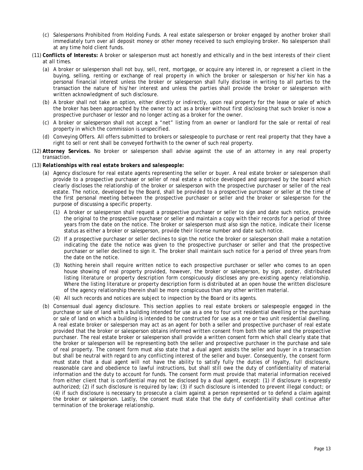- (c) Salespersons Prohibited from Holding Funds. A real estate salesperson or broker engaged by another broker shall immediately turn over all deposit money or other money received to such employing broker. No salesperson shall at any time hold client funds.
- (11) *Conflicts of Interests:* A broker or salesperson must act honestly and ethically and in the best interests of their client at all times.
	- (a) A broker or salesperson shall not buy, sell, rent, mortgage, or acquire any interest in, or represent a client in the buying, selling, renting or exchange of real property in which the broker or salesperson or his/her kin has a personal financial interest unless the broker or salesperson shall fully disclose in writing to all parties to the transaction the nature of his/her interest and unless the parties shall provide the broker or salesperson with written acknowledgment of such disclosure.
	- (b) A broker shall not take an option, either directly or indirectly, upon real property for the lease or sale of which the broker has been approached by the owner to act as a broker without first disclosing that such broker is now a prospective purchaser or lessor and no longer acting as a broker for the owner.
	- (c) A broker or salesperson shall not accept a "net" listing from an owner or landlord for the sale or rental of real property in which the commission is unspecified.
	- (d) Conveying Offers. All offers submitted to brokers or salespeople to purchase or rent real property that they have a right to sell or rent shall be conveyed forthwith to the owner of such real property.
- (12) *Attorney Services.* No broker or salesperson shall advise against the use of an attorney in any real property transaction.
- (13) *Relationships with real estate brokers and salespeople:* 
	- (a) Agency disclosure for real estate agents representing the seller or buyer. A real estate broker or salesperson shall provide to a prospective purchaser or seller of real estate a notice developed and approved by the board which clearly discloses the relationship of the broker or salesperson with the prospective purchaser or seller of the real estate. The notice, developed by the Board, shall be provided to a prospective purchaser or seller at the time of the first personal meeting between the prospective purchaser or seller and the broker or salesperson for the purpose of discussing a specific property.
		- (1) A broker or salesperson shall request a prospective purchaser or seller to sign and date such notice, provide the original to the prospective purchaser or seller and maintain a copy with their records for a period of three years from the date on the notice. The broker or salesperson must also sign the notice, indicate their license status as either a broker or salesperson, provide their license number and date such notice.
		- (2) If a prospective purchaser or seller declines to sign the notice the broker or salesperson shall make a notation indicating the date the notice was given to the prospective purchaser or seller and that the prospective purchaser or seller declined to sign it. The broker shall maintain such notice for a period of three years from the date on the notice.
		- (3) Nothing herein shall require written notice to each prospective purchaser or seller who comes to an open house showing of real property provided, however, the broker or salesperson, by sign, poster, distributed listing literature or property description form conspicuously discloses any pre-existing agency relationship. Where the listing literature or property description form is distributed at an open house the written disclosure of the agency relationship therein shall be more conspicuous than any other written material.
		- (4) All such records and notices are subject to inspection by the Board or its agents.
	- (b) Consensual dual agency disclosure. This section applies to real estate brokers or salespeople engaged in the purchase or sale of land with a building intended for use as a one to four unit residential dwelling or the purchase or sale of land on which a building is intended to be constructed for use as a one or two unit residential dwelling. A real estate broker or salesperson may act as an agent for both a seller and prospective purchaser of real estate provided that the broker or salesperson obtains informed written consent from both the seller and the prospective purchaser. The real estate broker or salesperson shall provide a written consent form which shall clearly state that the broker or salesperson will be representing both the seller and prospective purchaser in the purchase and sale of real property. The consent form must also state that a dual agent assists the seller and buyer in a transaction but shall be neutral with regard to any conflicting interest of the seller and buyer. Consequently, the consent form must state that a dual agent will not have the ability to satisfy fully the duties of loyalty, full disclosure, reasonable care and obedience to lawful instructions, but shall still owe the duty of confidentiality of material information and the duty to account for funds. The consent form must provide that material information received from either client that is confidential may not be disclosed by a dual agent, except: (1) if disclosure is expressly authorized; (2) if such disclosure is required by law; (3) if such disclosure is intended to prevent illegal conduct; or (4) if such disclosure is necessary to prosecute a claim against a person represented or to defend a claim against the broker or salesperson. Lastly, the consent must state that the duty of confidentiality shall continue after termination of the brokerage relationship.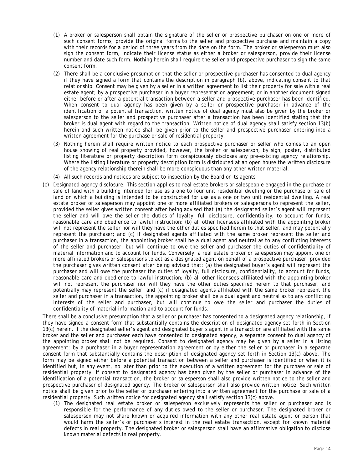- (1) A broker or salesperson shall obtain the signature of the seller or prospective purchaser on one or more of such consent forms, provide the original forms to the seller and prospective purchase and maintain a copy with their records for a period of three years from the date on the form. The broker or salesperson must also sign the consent form, indicate their license status as either a broker or salesperson, provide their license number and date such form. Nothing herein shall require the seller and prospective purchaser to sign the same consent form.
- (2) There shall be a conclusive presumption that the seller or prospective purchaser has consented to dual agency if they have signed a form that contains the description in paragraph (b), above, indicating consent to that relationship. Consent may be given by a seller in a written agreement to list their property for sale with a real estate agent; by a prospective purchaser in a buyer representation agreement; or in another document signed either before or after a potential transaction between a seller and prospective purchaser has been identified. When consent to dual agency has been given by a seller or prospective purchaser in advance of the identification of a potential transaction, written notice of dual agency must also be given by the broker or salesperson to the seller and prospective purchaser after a transaction has been identified stating that the broker is dual agent with regard to the transaction. Written notice of dual agency shall satisfy section 13(b) herein and such written notice shall be given prior to the seller and prospective purchaser entering into a written agreement for the purchase or sale of residential property.
- (3) Nothing herein shall require written notice to each prospective purchaser or seller who comes to an open house showing of real property provided, however, the broker or salesperson, by sign, poster, distributed listing literature or property description form conspicuously discloses any pre-existing agency relationship. Where the listing literature or property description form is distributed at an open house the written disclosure of the agency relationship therein shall be more conspicuous than any other written material.
- (4) All such records and notices are subject to inspection by the Board or its agents.
- (c) Designated agency disclosure. This section applies to real estate brokers or salespeople engaged in the purchase or sale of land with a building intended for use as a one to four unit residential dwelling or the purchase or sale of land on which a building is intended to be constructed for use as a one or two unit residential dwelling. A real estate broker or salesperson may appoint one or more affiliated brokers or salespersons to represent the seller, provided the seller gives written consent after being advised that (a) the designated seller's agent will represent the seller and will owe the seller the duties of loyalty, full disclosure, confidentiality, to account for funds, reasonable care and obedience to lawful instruction; (b) all other licensees affiliated with the appointing broker will not represent the seller nor will they have the other duties specified herein to that seller, and may potentially represent the purchaser; and (c) if designated agents affiliated with the same broker represent the seller and purchaser in a transaction, the appointing broker shall be a dual agent and neutral as to any conflicting interests of the seller and purchaser, but will continue to owe the seller and purchaser the duties of confidentiality of material information and to account for funds. Conversely, a real estate broker or salesperson may appoint one or more affiliated brokers or salespersons to act as a designated agent on behalf of a prospective purchaser, provided the purchaser gives written consent after being advised that; (a) the designated buyer's agent will represent the purchaser and will owe the purchaser the duties of loyalty, full disclosure, confidentiality, to account for funds, reasonable care and obedience to lawful instruction; (b) all other licensees affiliated with the appointing broker will not represent the purchaser nor will they have the other duties specified herein to that purchaser, and potentially may represent the seller; and (c) if designated agents affiliated with the same broker represent the seller and purchaser in a transaction, the appointing broker shall be a dual agent and neutral as to any conflicting interests of the seller and purchaser, but will continue to owe the seller and purchaser the duties of confidentiality of material information and to account for funds.

There shall be a conclusive presumption that a seller or purchaser has consented to a designated agency relationship, if they have signed a consent form that substantially contains the description of designated agency set forth in Section 13(c) herein. If the designated seller's agent and designated buyer's agent in a transaction are affiliated with the same broker and the seller and purchaser each have consented to designated agency, a separate consent to dual agency of the appointing broker shall not be required. Consent to designated agency may be given by a seller in a listing agreement; by a purchaser in a buyer representation agreement or by either the seller or purchaser in a separate consent form that substantially contains the description of designated agency set forth in Section 13(c) above. The form may be signed either before a potential transaction between a seller and purchaser is identified or when it is identified but, in any event, no later than prior to the execution of a written agreement for the purchase or sale of residential property. If consent to designated agency has been given by the seller or purchaser in advance of the identification of a potential transaction, the broker or salesperson shall also provide written notice to the seller and prospective purchaser of designated agency. The broker or salesperson shall also provide written notice. Such written notice shall be given prior to the seller or purchaser entering into a written agreement for the purchase or sale of a residential property. Such written notice for designated agency shall satisfy section 13(c) above.

(1) The designated real estate broker or salesperson exclusively represents the seller or purchaser and is responsible for the performance of any duties owed to the seller or purchaser. The designated broker or salesperson may not share known or acquired information with any other real estate agent or person that would harm the seller's or purchaser's interest in the real estate transaction, except for known material defects in real property. The designated broker or salesperson shall have an affirmative obligation to disclose known material defects in real property.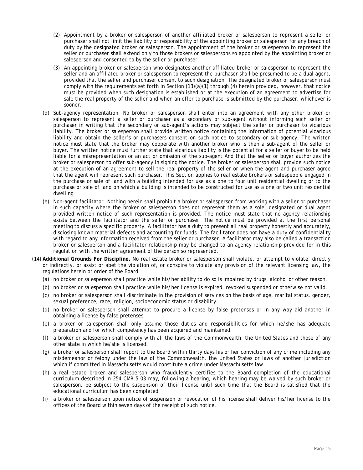- (2) Appointment by a broker or salesperson of another affiliated broker or salesperson to represent a seller or purchaser shall not limit the liability or responsibility of the appointing broker or salesperson for any breach of duty by the designated broker or salesperson. The appointment of the broker or salesperson to represent the seller or purchaser shall extend only to those brokers or salespersons so appointed by the appointing broker or salesperson and consented to by the seller or purchaser.
- (3) An appointing broker or salesperson who designates another affiliated broker or salesperson to represent the seller and an affiliated broker or salesperson to represent the purchaser shall be presumed to be a dual agent, provided that the seller and purchaser consent to such designation. The designated broker or salesperson must comply with the requirements set forth in Section  $(13)(a)(1)$  through  $(4)$  herein provided, however, that notice must be provided when such designation is established or at the execution of an agreement to advertise for sale the real property of the seller and when an offer to purchase is submitted by the purchaser, whichever is sooner.
- (d) Sub-agency representation. No broker or salesperson shall enter into an agreement with any other broker or salesperson to represent a seller or purchaser as a secondary or sub-agent without informing such seller or purchaser in writing that the secondary or sub-agent's actions may subject the seller or purchaser to vicarious liability. The broker or salesperson shall provide written notice containing the information of potential vicarious liability and obtain the seller's or purchasers consent on such notice to secondary or sub-agency. The written notice must state that the broker may cooperate with another broker who is then a sub-agent of the seller or buyer. The written notice must further state that vicarious liability is the potential for a seller or buyer to be held liable for a misrepresentation or an act or omission of the sub-agent And that the seller or buyer authorizes the broker or salesperson to offer sub-agency in signing the notice. The broker or salesperson shall provide such notice at the execution of an agreement to sell the real property of the seller or when the agent and purchaser agree that the agent will represent such purchaser. This Section applies to real estate brokers or salespeople engaged in the purchase or sale of land with a building intended for use as a one to four unit residential dwelling or to the purchase or sale of land on which a building is intended to be constructed for use as a one or two unit residential dwelling.
- (e) Non-agent facilitator. Nothing herein shall prohibit a broker or salesperson from working with a seller or purchaser in such capacity where the broker or salesperson does not represent them as a sole, designated or dual agent provided written notice of such representation is provided. The notice must state that no agency relationship exists between the facilitator and the seller or purchaser. The notice must be provided at the first personal meeting to discuss a specific property. A facilitator has a duty to present all real property honestly and accurately, disclosing known material defects and accounting for funds. The facilitator does not have a duty of confidentiality with regard to any information received from the seller or purchaser. A facilitator may also be called a transaction broker or salesperson and a facilitator relationship may be changed to an agency relationship provided for in this regulation with the written agreement of the person so represented.
- (14) *Additional Grounds For Discipline.* No real estate broker or salesperson shall violate, or attempt to violate, directly or indirectly, or assist or abet the violation of, or conspire to violate any provision of the relevant licensing law, the regulations herein or order of the Board.
	- (a) no broker or salesperson shall practice while his/her ability to do so is impaired by drugs, alcohol or other reason.
	- (b) no broker or salesperson shall practice while his/her license is expired, revoked suspended or otherwise not valid.
	- (c) no broker or salesperson shall discriminate in the provision of services on the basis of age, marital status, gender, sexual preference, race, religion, socioeconomic status or disability.
	- (d) no broker or salesperson shall attempt to procure a license by false pretenses or in any way aid another in obtaining a license by false pretenses.
	- (e) a broker or salesperson shall only assume those duties and responsibilities for which he/she has adequate preparation and for which competency has been acquired and maintained.
	- (f) a broker or salesperson shall comply with all the laws of the Commonwealth, the United States and those of any other state in which he/she is licensed.
	- (g) a broker or salesperson shall report to the Board within thirty days his or her conviction of any crime including any misdemeanor or felony under the law of the Commonwealth, the United States or laws of another jurisdiction which if committed in Massachusetts would constitute a crime under Massachusetts law.
	- (h) a real estate broker and salesperson who fraudulently certifies to the Board completion of the educational curriculum described in 254 CMR 5.03 may, following a hearing, which hearing may be waived by such broker or salesperson, be subject to the suspension of their license until such time that the Board is satisfied that the educational curriculum has been completed.
	- (i) a broker or salesperson upon notice of suspension or revocation of his license shall deliver his/her license to the offices of the Board within seven days of the receipt of such notice.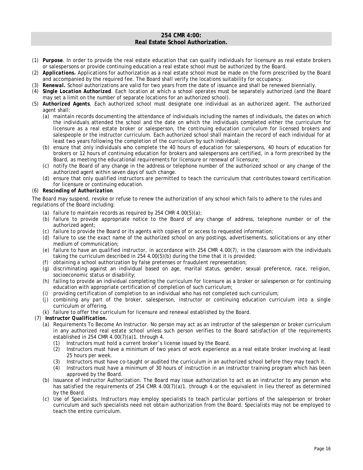## **254 CMR 4:00: Real Estate School Authorization.**

- (1) *Purpose.* In order to provide the real estate education that can qualify individuals for licensure as real estate brokers or salespersons or provide continuing education a real estate school must be authorized by the Board.
- (2) *Applications.* Applications for authorization as a real estate school must be made on the form prescribed by the Board and accompanied by the required fee. The Board shall verify the locations suitability for occupancy.
- (3) *Renewal.* School authorizations are valid for two years from the date of issuance and shall be renewed biennially.
- (4) *Single Location Authorized*. Each location at which a school operates must be separately authorized (and the Board may set a limit on the number of separate locations for an authorized school).
- (5) *Authorized Agents*. Each authorized school must designate one individual as an authorized agent. The authorized agent shall:
	- (a) maintain records documenting the attendance of individuals including the names of individuals, the dates on which the individuals attended the school and the date on which the individuals completed either the curriculum for licensure as a real estate broker or salesperson, the continuing education curriculum for licensed brokers and salespeople or the instructor curriculum. Each authorized school shall maintain the record of each individual for at least two years following the completion of the curriculum by such individual;
	- (b) ensure that only individuals who complete the 40 hours of education for salespersons, 40 hours of education for brokers or 12 hours of continuing education for brokers and salespersons are certified, in a form prescribed by the Board, as meeting the educational requirements for licensure or renewal of licensure;
	- (c) notify the Board of any change in the address or telephone number of the authorized school or any change of the authorized agent within seven days of such change.
	- (d) ensure that only qualified instructors are permitted to teach the curriculum that contributes toward certification for licensure or continuing education.
- (6) *Rescinding of Authorization*.

The Board may suspend, revoke or refuse to renew the authorization of any school which fails to adhere to the rules and regulations of the Board including:

- (a) failure to maintain records as required by 254 CMR  $4.00(5)(a)$ ;
- (b) failure to provide appropriate notice to the Board of any change of address, telephone number or of the authorized agent;
- (c) failure to provide the Board or its agents with copies of or access to requested information;
- (d) failure to use the exact name of the authorized school on any postings, advertisements, solicitations or any other medium of communication;
- (e) failure to have an qualified instructor, in accordance with 254 CMR 4.00(7), in the classroom with the individuals taking the curriculum described in 254 4.00(5)(b) during the time that it is provided;
- (f) obtaining a school authorization by false pretenses or fraudulent representation;
- (g) discriminating against an individual based on age, marital status, gender, sexual preference, race, religion, socioeconomic status or disability;
- (h) failing to provide an individual completing the curriculum for licensure as a broker or salesperson or for continuing education with appropriate certification of completion of such curriculum;
- (i) providing certification of completion to an individual who has not completed such curriculum;
- (j) combining any part of the broker, salesperson, instructor or continuing education curriculum into a single curriculum or offering.
- (k) failure to offer the curriculum for licensure and renewal established by the Board.
- (7) *Instructor Qualification.* 
	- (a) Requirements To Become An Instructor. No person may act as an instructor of the salesperson or broker curriculum in any authorized real estate school unless such person verifies to the Board satisfaction of the requirements established in 254 CMR 4.00(7)(a)1. through 4.
		- (1) Instructors must hold a current broker's license issued by the Board.
		- (2) Instructors must have a minimum of two years of work experience as a real estate broker involving at least 25 hours per week.
		- (3) Instructors must have co-taught or audited the curriculum in an authorized school before they may teach it.
		- (4) Instructors must have a minimum of 30 hours of instruction in an instructor training program which has been approved by the Board.
	- (b) Issuance of Instructor Authorization. The Board may issue authorization to act as an instructor to any person who has satisfied the requirements of 254 CMR 4.00(7)(a)1. through 4 or the equivalent in lieu thereof as determined by the Board.
	- (c) Use of Specialists. Instructors may employ specialists to teach particular portions of the salesperson or broker curriculum and such specialists need not obtain authorization from the Board. Specialists may not be employed to teach the entire curriculum.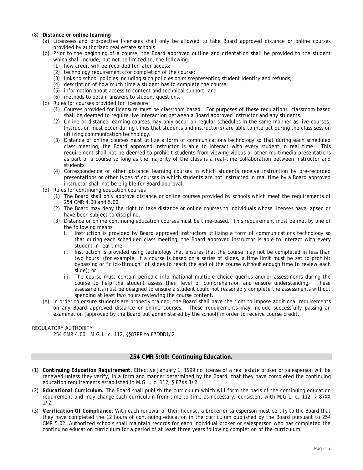## (8) *Distance or online learning*

- (a) Licensees and prospective licensees shall only be allowed to take Board approved distance or online courses provided by authorized real estate schools.
- (b) Prior to the beginning of a course, the Board approved outline and orientation shall be provided to the student which shall include, but not be limited to, the following:
	- (1) how credit will be recorded for later access;
	- (2) technology requirements for completion of the course;
	- (3) links to school policies including such policies on misrepresenting student identity and refunds;
	- (4) description of how much time a student has to complete the course;
	- (5) information about access to content and technical support; and
	- (6) methods to obtain answers to student questions.
- (c) Rules for courses provided for licensure
	- (1) Courses provided for licensure must be classroom based. For purposes of these regulations, classroom based shall be deemed to require live interaction between a Board approved instructor and any students.
	- (2) Online or distance learning courses may only occur on regular schedules in the same manner as live courses. Instruction must occur during times that students and instructor(s) are able to interact during the class session utilizing communication technology.
	- (3) Distance or online courses must utilize a form of communications technology so that during each scheduled class meeting, the Board approved instructor is able to interact with every student in real time. This requirement shall not be deemed to prohibit students from viewing videos or other multimedia presentations as part of a course so long as the majority of the class is a real-time collaboration between instructor and students.
	- (4) Correspondence or other distance learning courses in which students receive instruction by pre-recorded presentations or other types of courses in which students are not instructed in real time by a Board approved instructor shall not be eligible for Board approval.
- (d) Rules for continuing education courses
	- (1) The Board shall only approve distance or online courses provided by schools which meet the requirements of 254 CMR 4.00 and 5.00.
	- (2) The Board may deny the right to take distance or online courses to individuals whose licenses have lapsed or have been subject to discipline.
	- (3) Distance or online continuing education courses must be time-based. This requirement must be met by one of the following means:
		- i. Instruction is provided by Board approved instructors utilizing a form of communications technology so that during each scheduled class meeting, the Board approved instructor is able to interact with every student in real time;
		- ii. Instruction is provided using technology that ensures that the course may not be completed in less than two hours (for example, if a course is based on a series of slides, a time limit must be set to prohibit bypassing or "click-through" of slides to reach the end of the course without enough time to review each slide); or
		- iii. The course must contain periodic informational multiple choice queries and/or assessments during the course to help the student assess their level of comprehension and ensure understanding. These assessments must be designed to ensure a student could not reasonably complete the assessments without spending at least two hours reviewing the course content.
- (e) In order to ensure students are properly trained, the Board shall have the right to impose additional requirements on any Board approved distance or online courses. These requirements may include successfully passing an examination (approved by the Board but administered by the school) in order to receive course credit.

# REGULATORY AUTHORITY

254 CMR 4.00: M.G.L. c. 112, §§87PP to 87DDD1/2

## **254 CMR 5:00: Continuing Education.**

- (1) *Continuing Education Requirement.* Effective January 1, 1999 no license of a real estate broker or salesperson will be renewed unless they verify, in a form and manner determined by the Board, that they have completed the continuing education requirements established in M.G.L. c. 112, § 87XX 1/2.
- (2) *Educational Curriculum.* The Board shall publish the curriculum which will form the basis of the continuing education requirement and may change such curriculum from time to time as necessary, consistent with M.G.L. c. 112, § 87XX 1/2.
- (3) *Verification Of Compliance.* With each renewal of their license, a broker or salesperson must certify to the Board that they have completed the 12 hours of continuing education in the curriculum published by the Board pursuant to 254 CMR 5.02. Authorized schools shall maintain records for each individual broker or salesperson who has completed the continuing education curriculum for a period of at least three years following completion of the curriculum.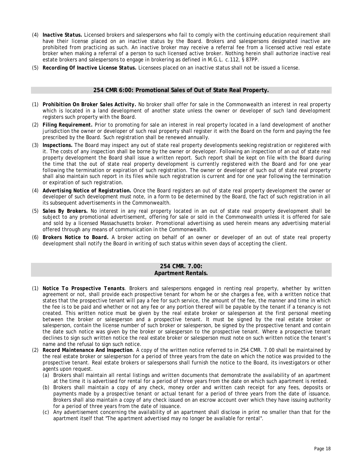- (4) *Inactive Status.* Licensed brokers and salespersons who fail to comply with the continuing education requirement shall have their license placed on an inactive status by the Board. Brokers and salespersons designated inactive are prohibited from practicing as such. An inactive broker may receive a referral fee from a licensed active real estate broker when making a referral of a person to such licensed active broker. Nothing herein shall authorize inactive real estate brokers and salespersons to engage in brokering as defined in M.G.L. c.112, § 87PP.
- (5) *Recording Of Inactive License Status.* Licensees placed on an inactive status shall not be issued a license.

## **254 CMR 6:00: Promotional Sales of Out of State Real Property.**

- (1) *Prohibition On Broker Sales Activity.* No broker shall offer for sale in the Commonwealth an interest in real property which is located in a land development of another state unless the owner or developer of such land development registers such property with the Board.
- (2) *Filing Requirement.* Prior to promoting for sale an interest in real property located in a land development of another jurisdiction the owner or developer of such real property shall register it with the Board on the form and paying the fee prescribed by the Board. Such registration shall be renewed annually.
- (3) *Inspections.* The Board may inspect any out of state real property developments seeking registration or registered with it. The costs of any inspection shall be borne by the owner or developer. Following an inspection of an out of state real property development the Board shall issue a written report. Such report shall be kept on file with the Board during the time that the out of state real property development is currently registered with the Board and for one year following the termination or expiration of such registration. The owner or developer of such out of state real property shall also maintain such report in its files while such registration is current and for one year following the termination or expiration of such registration.
- (4) *Advertising Notice of Registration.* Once the Board registers an out of state real property development the owner or developer of such development must note, in a form to be determined by the Board, the fact of such registration in all its subsequent advertisements in the Commonwealth.
- (5) *Sales By Brokers.* No interest in any real property located in an out of state real property development shall be subject to any promotional advertisement, offering for sale or sold in the Commonwealth unless it is offered for sale and sold by a licensed Massachusetts broker. Promotional advertising as used herein means any advertising material offered through any means of communication in the Commonwealth.
- (6) *Brokers Notice to Board.* A broker acting on behalf of an owner or developer of an out of state real property development shall notify the Board in writing of such status within seven days of accepting the client.

# **254 CMR. 7.00: Apartment Rentals.**

- (1) *Notice To Prospective Tenants*. Brokers and salespersons engaged in renting real property, whether by written agreement or not, shall provide each prospective tenant for whom he or she charges a fee, with a written notice that states that the prospective tenant will pay a fee for such service, the amount of the fee, the manner and time in which the fee is to be paid and whether or not any fee or any portion thereof will be payable by the tenant if a tenancy is not created. This written notice must be given by the real estate broker or salesperson at the first personal meeting between the broker or salesperson and a prospective tenant. It must be signed by the real estate broker or salesperson, contain the license number of such broker or salesperson, be signed by the prospective tenant and contain the date such notice was given by the broker or salesperson to the prospective tenant. Where a prospective tenant declines to sign such written notice the real estate broker or salesperson must note on such written notice the tenant's name and the refusal to sign such notice.
- (2) *Record Maintenance And Inspection*. A copy of the written notice referred to in 254 CMR. 7.00 shall be maintained by the real estate broker or salesperson for a period of three years from the date on which the notice was provided to the prospective tenant. Real estate brokers or salespersons shall furnish the notice to the Board, its investigators or other agents upon request.
	- (a) Brokers shall maintain all rental listings and written documents that demonstrate the availability of an apartment at the time it is advertised for rental for a period of three years from the date on which such apartment is rented.
	- (b) Brokers shall maintain a copy of any check, money order and written cash receipt for any fees, deposits or payments made by a prospective tenant or actual tenant for a period of three years from the date of issuance. Brokers shall also maintain a copy of any check issued on an escrow account over which they have issuing authority for a period of three years from the date of issuance.
	- (c) Any advertisement concerning the availability of an apartment shall disclose in print no smaller than that for the apartment itself that "The apartment advertised may no longer be available for rental".